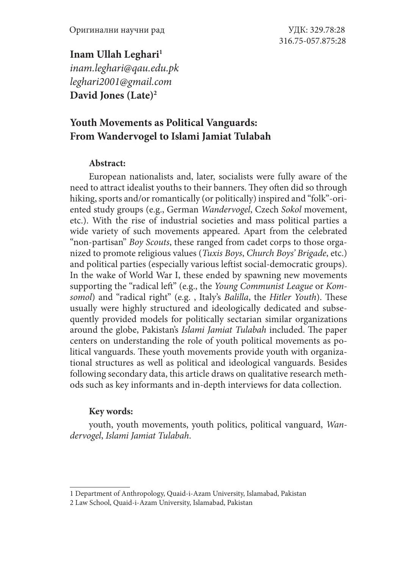## Inam Ullah Leghari<sup>1</sup>

*inam.leghari@qau.edu.pk leghari2001@gmail.com* **David Jones (Late)2**

# **Youth Movements as Political Vanguards: From Wandervogel to Islami Jamiat Tulabah**

### **Abstract:**

European nationalists and, later, socialists were fully aware of the need to attract idealist youths to their banners. They often did so through hiking, sports and/or romantically (or politically) inspired and "folk"-oriented study groups (e.g., German *Wandervogel*, Czech *Sokol* movement, etc.). With the rise of industrial societies and mass political parties a wide variety of such movements appeared. Apart from the celebrated "non-partisan" *Boy Scouts*, these ranged from cadet corps to those organized to promote religious values (*Tuxis Boys*, *Church Boys' Brigade*, etc.) and political parties (especially various leftist social-democratic groups). In the wake of World War I, these ended by spawning new movements supporting the "radical left" (e.g., the *Young Communist League* or *Komsomol*) and "radical right" (e.g. , Italy's *Balilla*, the *Hitler Youth*). These usually were highly structured and ideologically dedicated and subsequently provided models for politically sectarian similar organizations around the globe, Pakistan's *Islami Jamiat Tulabah* included. The paper centers on understanding the role of youth political movements as political vanguards. These youth movements provide youth with organizational structures as well as political and ideological vanguards. Besides following secondary data, this article draws on qualitative research methods such as key informants and in-depth interviews for data collection.

### **Key words:**

youth, youth movements, youth politics, political vanguard, *Wandervogel*, *Islami Jamiat Tulabah*.

<sup>1</sup> Department of Anthropology, Quaid-i-Azam University, Islamabad, Pakistan

<sup>2</sup> Law School, Quaid-i-Azam University, Islamabad, Pakistan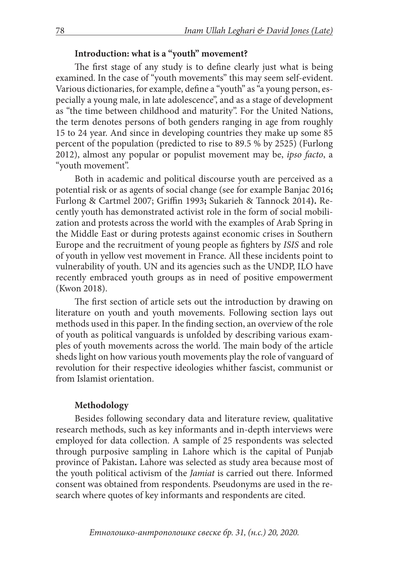## **Introduction: what is a "youth" movement?**

The first stage of any study is to define clearly just what is being examined. In the case of "youth movements" this may seem self-evident. Various dictionaries, for example, define a "youth" as "a young person, especially a young male, in late adolescence", and as a stage of development as "the time between childhood and maturity". For the United Nations, the term denotes persons of both genders ranging in age from roughly 15 to 24 year. And since in developing countries they make up some 85 percent of the population (predicted to rise to 89.5 % by 2525) (Furlong 2012), almost any popular or populist movement may be, *ipso facto*, a "youth movement".

Both in academic and political discourse youth are perceived as a potential risk or as agents of social change (see for example Banjac 2016**;**  Furlong & Cartmel 2007; Griffin 1993**;** Sukarieh & Tannock 2014**).** Recently youth has demonstrated activist role in the form of social mobilization and protests across the world with the examples of Arab Spring in the Middle East or during protests against economic crises in Southern Europe and the recruitment of young people as fighters by *ISIS* and role of youth in yellow vest movement in France. All these incidents point to vulnerability of youth. UN and its agencies such as the UNDP, ILO have recently embraced youth groups as in need of positive empowerment (Kwon 2018).

The first section of article sets out the introduction by drawing on literature on youth and youth movements. Following section lays out methods used in this paper. In the finding section, an overview of the role of youth as political vanguards is unfolded by describing various examples of youth movements across the world. The main body of the article sheds light on how various youth movements play the role of vanguard of revolution for their respective ideologies whither fascist, communist or from Islamist orientation.

#### **Methodology**

Besides following secondary data and literature review, qualitative research methods, such as key informants and in-depth interviews were employed for data collection. A sample of 25 respondents was selected through purposive sampling in Lahore which is the capital of Punjab province of Pakistan**.** Lahore was selected as study area because most of the youth political activism of the *Jamiat* is carried out there. Informed consent was obtained from respondents. Pseudonyms are used in the research where quotes of key informants and respondents are cited.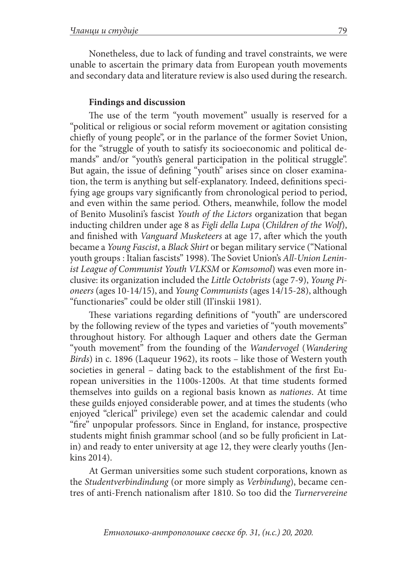Nonetheless, due to lack of funding and travel constraints, we were unable to ascertain the primary data from European youth movements and secondary data and literature review is also used during the research.

### **Findings and discussion**

The use of the term "youth movement" usually is reserved for a "political or religious or social reform movement or agitation consisting chiefly of young people", or in the parlance of the former Soviet Union, for the "struggle of youth to satisfy its socioeconomic and political demands" and/or "youth's general participation in the political struggle". But again, the issue of defining "youth" arises since on closer examination, the term is anything but self-explanatory. Indeed, definitions specifying age groups vary significantly from chronological period to period, and even within the same period. Others, meanwhile, follow the model of Benito Musolini's fascist *Youth of the Lictors* organization that began inducting children under age 8 as *Figli della Lupa* (*Children of the Wolf*), and finished with *Vanguard Musketeers* at age 17, after which the youth became a *Young Fascist*, a *Black Shirt* or began military service ("National youth groups : Italian fascists" 1998). The Soviet Union's *All-Union Leninist League of Communist Youth VLKSM* or *Komsomol*) was even more inclusive: its organization included the *Little Octobrists* (age 7-9), *Young Pioneers* (ages 10-14/15), and *Young Communists* (ages 14/15-28), although "functionaries" could be older still (Il'inskii 1981).

These variations regarding definitions of "youth" are underscored by the following review of the types and varieties of "youth movements" throughout history. For although Laquer and others date the German "youth movement" from the founding of the *Wandervogel* (*Wandering Birds*) in c. 1896 (Laqueur 1962), its roots – like those of Western youth societies in general – dating back to the establishment of the first European universities in the 1100s-1200s. At that time students formed themselves into guilds on a regional basis known as *nationes*. At time these guilds enjoyed considerable power, and at times the students (who enjoyed "clerical" privilege) even set the academic calendar and could "fire" unpopular professors. Since in England, for instance, prospective students might finish grammar school (and so be fully proficient in Latin) and ready to enter university at age 12, they were clearly youths (Jenkins 2014).

At German universities some such student corporations, known as the *Studentverbindindung* (or more simply as *Verbindung*), became centres of anti-French nationalism after 1810. So too did the *Turnervereine*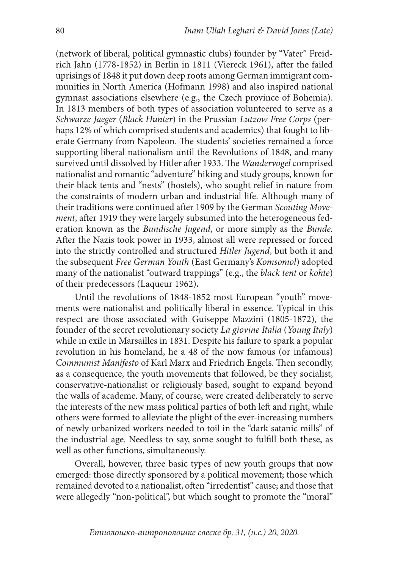(network of liberal, political gymnastic clubs) founder by "Vater" Freidrich Jahn (1778-1852) in Berlin in 1811 (Viereck 1961), after the failed uprisings of 1848 it put down deep roots among German immigrant communities in North America (Hofmann 1998) and also inspired national gymnast associations elsewhere (e.g., the Czech province of Bohemia). In 1813 members of both types of association volunteered to serve as a *Schwarze Jaeger* (*Black Hunter*) in the Prussian *Lutzow Free Corps* (perhaps 12% of which comprised students and academics) that fought to liberate Germany from Napoleon. The students' societies remained a force supporting liberal nationalism until the Revolutions of 1848, and many survived until dissolved by Hitler after 1933. The *Wandervogel* comprised nationalist and romantic "adventure" hiking and study groups, known for their black tents and "nests" (hostels), who sought relief in nature from the constraints of modern urban and industrial life. Although many of their traditions were continued after 1909 by the German *Scouting Movement*, after 1919 they were largely subsumed into the heterogeneous federation known as the *Bundische Jugend*, or more simply as the *Bunde.* After the Nazis took power in 1933, almost all were repressed or forced into the strictly controlled and structured *Hitler Jugend*, but both it and the subsequent *Free German Youth* (East Germany's *Komsomol*) adopted many of the nationalist "outward trappings" (e.g., the *black tent* or *kohte*) of their predecessors (Laqueur 1962)**.**

Until the revolutions of 1848-1852 most European "youth" movements were nationalist and politically liberal in essence. Typical in this respect are those associated with Guiseppe Mazzini (1805-1872), the founder of the secret revolutionary society *La giovine Italia* (*Young Italy*) while in exile in Marsailles in 1831. Despite his failure to spark a popular revolution in his homeland, he a 48 of the now famous (or infamous) *Communist Manifesto* of Karl Marx and Friedrich Engels. Then secondly, as a consequence, the youth movements that followed, be they socialist, conservative-nationalist or religiously based, sought to expand beyond the walls of academe. Many, of course, were created deliberately to serve the interests of the new mass political parties of both left and right, while others were formed to alleviate the plight of the ever-increasing numbers of newly urbanized workers needed to toil in the "dark satanic mills" of the industrial age. Needless to say, some sought to fulfill both these, as well as other functions, simultaneously.

Overall, however, three basic types of new youth groups that now emerged: those directly sponsored by a political movement; those which remained devoted to a nationalist, often "irredentist" cause; and those that were allegedly "non-political", but which sought to promote the "moral"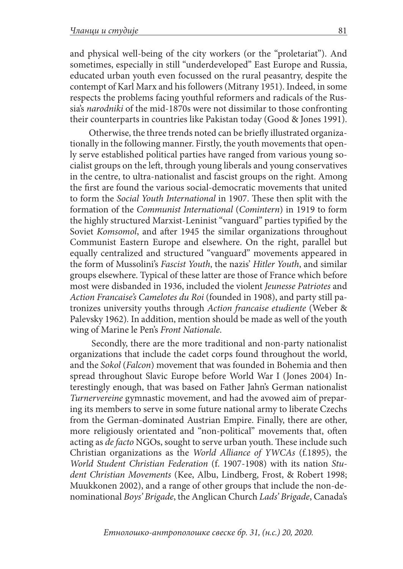and physical well-being of the city workers (or the "proletariat"). And sometimes, especially in still "underdeveloped" East Europe and Russia, educated urban youth even focussed on the rural peasantry, despite the contempt of Karl Marx and his followers (Mitrany 1951). Indeed, in some respects the problems facing youthful reformers and radicals of the Russia's *narodniki* of the mid-1870s were not dissimilar to those confronting their counterparts in countries like Pakistan today (Good & Jones 1991).

Otherwise, the three trends noted can be briefly illustrated organizationally in the following manner. Firstly, the youth movements that openly serve established political parties have ranged from various young socialist groups on the left, through young liberals and young conservatives in the centre, to ultra-nationalist and fascist groups on the right. Among the first are found the various social-democratic movements that united to form the *Social Youth International* in 1907. These then split with the formation of the *Communist International* (*Comintern*) in 1919 to form the highly structured Marxist-Leninist "vanguard" parties typified by the Soviet *Komsomol*, and after 1945 the similar organizations throughout Communist Eastern Europe and elsewhere. On the right, parallel but equally centralized and structured "vanguard" movements appeared in the form of Mussolini's *Fascist Youth*, the nazis' *Hitler Youth*, and similar groups elsewhere. Typical of these latter are those of France which before most were disbanded in 1936, included the violent *Jeunesse Patriotes* and *Action Francaise's Camelotes du Roi* (founded in 1908), and party still patronizes university youths through *Action francaise etudiente* (Weber & Palevsky 1962)*.* In addition, mention should be made as well of the youth wing of Marine le Pen's *Front Nationale*.

 Secondly, there are the more traditional and non-party nationalist organizations that include the cadet corps found throughout the world, and the *Sokol* (*Falcon*) movement that was founded in Bohemia and then spread throughout Slavic Europe before World War I (Jones 2004) Interestingly enough, that was based on Father Jahn's German nationalist *Turnervereine* gymnastic movement, and had the avowed aim of preparing its members to serve in some future national army to liberate Czechs from the German-dominated Austrian Empire. Finally, there are other, more religiously orientated and "non-political" movements that, often acting as *de facto* NGOs, sought to serve urban youth. These include such Christian organizations as the *World Alliance of YWCAs* (f.1895), the *World Student Christian Federation* (f. 1907-1908) with its nation *Student Christian Movements* (Kee, Albu, Lindberg, Frost, & Robert 1998; Muukkonen 2002), and a range of other groups that include the non-denominational *Boys' Brigade*, the Anglican Church *Lads' Brigade*, Canada's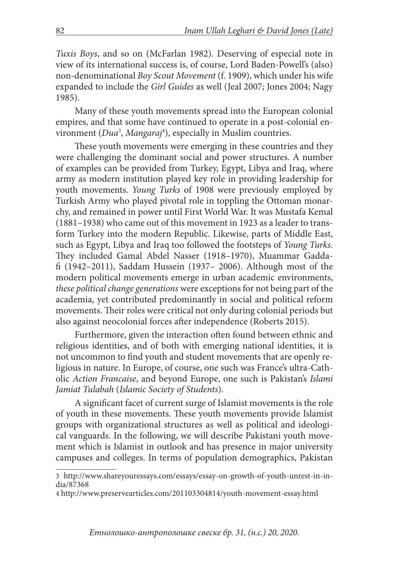*Tuxis Boys*, and so on (McFarlan 1982). Deserving of especial note in view of its international success is, of course, Lord Baden-Powell's (also) non-denominational *Boy Scout Movement* (f. 1909), which under his wife expanded to include the *Girl Guides* as well (Jeal 2007; Jones 2004; Nagy 1985).

Many of these youth movements spread into the European colonial empires, and that some have continued to operate in a post-colonial environment (*Dua*<sup>3</sup> , *Mangaraj*<sup>4</sup> ), especially in Muslim countries.

These youth movements were emerging in these countries and they were challenging the dominant social and power structures. A number of examples can be provided from Turkey, Egypt, Libya and Iraq, where army as modern institution played key role in providing leadership for youth movements. *Young Turks* of 1908 were previously employed by Turkish Army who played pivotal role in toppling the Ottoman monarchy, and remained in power until First World War. It was Mustafa Kemal (1881–1938) who came out of this movement in 1923 as a leader to transform Turkey into the modern Republic. Likewise, parts of Middle East, such as Egypt, Libya and Iraq too followed the footsteps of *Young Turks*. They included Gamal Abdel Nasser (1918–1970), Muammar Gaddafi (1942–2011), Saddam Hussein (1937– 2006). Although most of the modern political movements emerge in urban academic environments, *these political change generations* were exceptions for not being part of the academia, yet contributed predominantly in social and political reform movements. Their roles were critical not only during colonial periods but also against neocolonial forces after independence (Roberts 2015).

Furthermore, given the interaction often found between ethnic and religious identities, and of both with emerging national identities, it is not uncommon to find youth and student movements that are openly religious in nature. In Europe, of course, one such was France's ultra-Catholic *Action Francaise*, and beyond Europe, one such is Pakistan's *Islami Jamiat Tulabah* (*Islamic Society of Students*).

A significant facet of current surge of Islamist movements is the role of youth in these movements. These youth movements provide Islamist groups with organizational structures as well as political and ideological vanguards. In the following, we will describe Pakistani youth movement which is Islamist in outlook and has presence in major university campuses and colleges. In terms of population demographics, Pakistan

<sup>3</sup> http://www.shareyouressays.com/essays/essay-on-growth-of-youth-unrest-in-india/87368

<sup>4</sup> http://www.preservearticles.com/201103304814/youth-movement-essay.html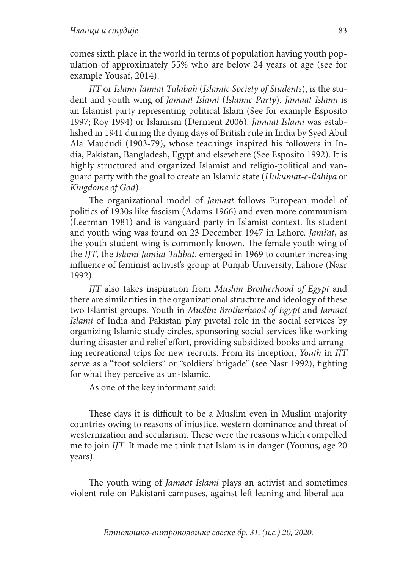comes sixth place in the world in terms of population having youth population of approximately 55% who are below 24 years of age (see for example Yousaf, 2014).

*IJT* or *Islami Jamiat Tulabah* (*Islamic Society of Students*), is the student and youth wing of *Jamaat Islami* (*Islamic Party*). *Jamaat Islami* is an Islamist party representing political Islam (See for example Esposito 1997; Roy 1994) or Islamism (Derment 2006). *Jamaat Islami* was established in 1941 during the dying days of British rule in India by Syed Abul Ala Maududi (1903-79), whose teachings inspired his followers in India, Pakistan, Bangladesh, Egypt and elsewhere (See Esposito 1992). It is highly structured and organized Islamist and religio-political and vanguard party with the goal to create an Islamic state (*Hukumat-e-ilahiya* or *Kingdome of God*).

The organizational model of *Jamaat* follows European model of politics of 1930s like fascism (Adams 1966) and even more communism (Leerman 1981) and is vanguard party in Islamist context. Its student and youth wing was found on 23 December 1947 in Lahore. *Jami'at*, as the youth student wing is commonly known. The female youth wing of the *IJT*, the *Islami Jamiat Talibat*, emerged in 1969 to counter increasing influence of feminist activist's group at Punjab University, Lahore (Nasr 1992).

*IJT* also takes inspiration from *Muslim Brotherhood of Egypt* and there are similarities in the organizational structure and ideology of these two Islamist groups. Youth in *Muslim Brotherhood of Egypt* and *Jamaat Islami* of India and Pakistan play pivotal role in the social services by organizing Islamic study circles, sponsoring social services like working during disaster and relief effort, providing subsidized books and arranging recreational trips for new recruits. From its inception, *Youth* in *IJT* serve as a **"**foot soldiers" or "soldiers' brigade" (see Nasr 1992), fighting for what they perceive as un-Islamic.

As one of the key informant said:

These days it is difficult to be a Muslim even in Muslim majority countries owing to reasons of injustice, western dominance and threat of westernization and secularism. These were the reasons which compelled me to join *IJT*. It made me think that Islam is in danger (Younus, age 20 years).

The youth wing of *Jamaat Islami* plays an activist and sometimes violent role on Pakistani campuses, against left leaning and liberal aca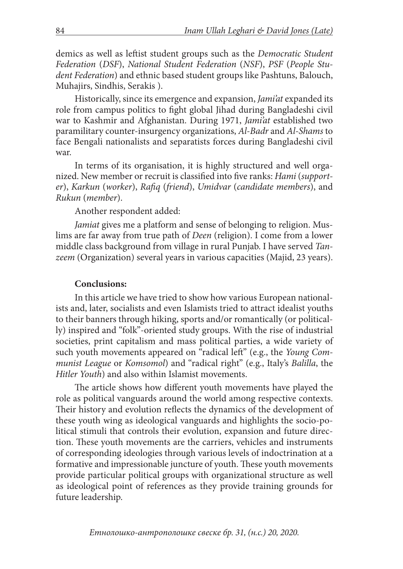demics as well as leftist student groups such as the *Democratic Student Federation* (*DSF*), *National Student Federation* (*NSF*), *PSF* (*People Student Federation*) and ethnic based student groups like Pashtuns, Balouch, Muhajirs, Sindhis, Serakis ).

Historically, since its emergence and expansion, *Jami'at* expanded its role from campus politics to fight global Jihad during Bangladeshi civil war to Kashmir and Afghanistan. During 1971, *Jami'at* established two paramilitary counter-insurgency organizations, *Al-Badr* and *Al-Shams* to face Bengali nationalists and separatists forces during Bangladeshi civil war.

In terms of its organisation, it is highly structured and well organized. New member or recruit is classified into five ranks: *Hami* (*supporter*), *Karkun* (*worker*), *Rafiq* (*friend*), *Umidvar* (*candidate members*), and *Rukun* (*member*).

Another respondent added:

*Jamiat* gives me a platform and sense of belonging to religion. Muslims are far away from true path of *Deen* (religion). I come from a lower middle class background from village in rural Punjab. I have served *Tanzeem* (Organization) several years in various capacities (Majid, 23 years).

#### **Conclusions:**

In this article we have tried to show how various European nationalists and, later, socialists and even Islamists tried to attract idealist youths to their banners through hiking, sports and/or romantically (or politically) inspired and "folk"-oriented study groups. With the rise of industrial societies, print capitalism and mass political parties, a wide variety of such youth movements appeared on "radical left" (e.g., the *Young Communist League* or *Komsomol*) and "radical right" (e.g., Italy's *Balilla*, the *Hitler Youth*) and also within Islamist movements.

The article shows how different youth movements have played the role as political vanguards around the world among respective contexts. Their history and evolution reflects the dynamics of the development of these youth wing as ideological vanguards and highlights the socio-political stimuli that controls their evolution, expansion and future direction. These youth movements are the carriers, vehicles and instruments of corresponding ideologies through various levels of indoctrination at a formative and impressionable juncture of youth. These youth movements provide particular political groups with organizational structure as well as ideological point of references as they provide training grounds for future leadership.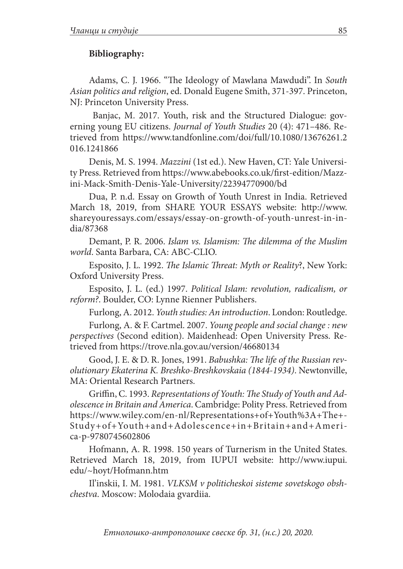## **Bibliography:**

Adams, C. J. 1966. "The Ideology of Mawlana Mawdudi". In *South Asian politics and religion*, ed. Donald Eugene Smith, 371-397. Princeton, NJ: Princeton University Press.

 Banjac, M. 2017. Youth, risk and the Structured Dialogue: governing young EU citizens. *Journal of Youth Studies* 20 (4): 471–486. Retrieved from https://www.tandfonline.com/doi/full/10.1080/13676261.2 016.1241866

Denis, M. S. 1994. *Mazzini* (1st ed.). New Haven, CT: Yale University Press. Retrieved from https://www.abebooks.co.uk/first-edition/Mazzini-Mack-Smith-Denis-Yale-University/22394770900/bd

Dua, P. n.d. Essay on Growth of Youth Unrest in India. Retrieved March 18, 2019, from SHARE YOUR ESSAYS website: http://www. shareyouressays.com/essays/essay-on-growth-of-youth-unrest-in-india/87368

Demant, P. R. 2006. *Islam vs. Islamism: The dilemma of the Muslim world*. Santa Barbara, CA: ABC-CLIO.

Esposito, J. L. 1992. *The Islamic Threat: Myth or Reality*?, New York: Oxford University Press.

Esposito, J. L. (ed.) 1997. *Political Islam: revolution, radicalism, or reform?*. Boulder, CO: Lynne Rienner Publishers.

Furlong, A. 2012. *Youth studies: An introduction*. London: Routledge.

Furlong, A. & F. Cartmel. 2007. *Young people and social change : new perspectives* (Second edition). Maidenhead: Open University Press. Retrieved from https://trove.nla.gov.au/version/46680134

Good, J. E. & D. R. Jones, 1991. *Babushka: The life of the Russian revolutionary Ekaterina K. Breshko-Breshkovskaia (1844-1934)*. Newtonville, MA: Oriental Research Partners.

Griffin, C. 1993. *Representations of Youth: The Study of Youth and Adolescence in Britain and America*. Cambridge: Polity Press. Retrieved from https://www.wiley.com/en-nl/Representations+of+Youth%3A+The+- Study+of+Youth+and+Adolescence+in+Britain+and+America-p-9780745602806

Hofmann, A. R. 1998. 150 years of Turnerism in the United States. Retrieved March 18, 2019, from IUPUI website: http://www.iupui. edu/~hoyt/Hofmann.htm

Il'inskii, I. M. 1981. *VLKSM v politicheskoi sisteme sovetskogo obshchestva*. Moscow: Molodaia gvardiia.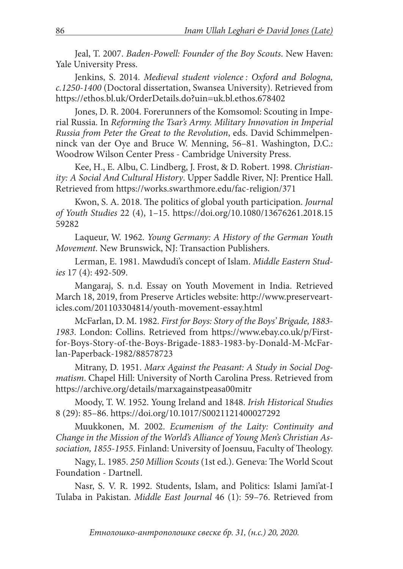Jeal, T. 2007. *Baden-Powell: Founder of the Boy Scouts*. New Haven: Yale University Press.

Jenkins, S. 2014. *Medieval student violence : Oxford and Bologna, c.1250-1400* (Doctoral dissertation, Swansea University). Retrieved from https://ethos.bl.uk/OrderDetails.do?uin=uk.bl.ethos.678402

Jones, D. R. 2004. Forerunners of the Komsomol: Scouting in Imperial Russia. In *Reforming the Tsar's Army. Military Innovation in Imperial Russia from Peter the Great to the Revolution*, eds. David Schimmelpenninck van der Oye and Bruce W. Menning, 56–81. Washington, D.C.: Woodrow Wilson Center Press - Cambridge University Press.

Kee, H., E. Albu, C. Lindberg, J. Frost, & D. Robert. 1998. *Christianity: A Social And Cultural History*. Upper Saddle River, NJ: Prentice Hall. Retrieved from https://works.swarthmore.edu/fac-religion/371

Kwon, S. A. 2018. The politics of global youth participation. *Journal of Youth Studies* 22 (4), 1–15. https://doi.org/10.1080/13676261.2018.15 59282

Laqueur, W. 1962. *Young Germany: A History of the German Youth Movement*. New Brunswick, NJ: Transaction Publishers.

Lerman, E. 1981. Mawdudi's concept of Islam. *Middle Eastern Studies* 17 (4): 492-509.

Mangaraj, S. n.d. Essay on Youth Movement in India. Retrieved March 18, 2019, from Preserve Articles website: http://www.preservearticles.com/201103304814/youth-movement-essay.html

McFarlan, D. M. 1982. *First for Boys: Story of the Boys' Brigade, 1883- 1983*. London: Collins. Retrieved from https://www.ebay.co.uk/p/Firstfor-Boys-Story-of-the-Boys-Brigade-1883-1983-by-Donald-M-McFarlan-Paperback-1982/88578723

Mitrany, D. 1951. *Marx Against the Peasant: A Study in Social Dogmatism*. Chapel Hill: University of North Carolina Press. Retrieved from https://archive.org/details/marxagainstpeasa00mitr

Moody, T. W. 1952. Young Ireland and 1848. *Irish Historical Studies* 8 (29): 85–86. https://doi.org/10.1017/S0021121400027292

Muukkonen, M. 2002. *Ecumenism of the Laity: Continuity and Change in the Mission of the World's Alliance of Young Men's Christian Association, 1855-1955*. Finland: University of Joensuu, Faculty of Theology.

Nagy, L. 1985. *250 Million Scouts* (1st ed.). Geneva: The World Scout Foundation - Dartnell.

Nasr, S. V. R. 1992. Students, Islam, and Politics: Islami Jami'at-I Tulaba in Pakistan. *Middle East Journal* 46 (1): 59–76. Retrieved from

*Етнолошко-антрополошке свеске бр. 31, (н.с.) 20, 2020.*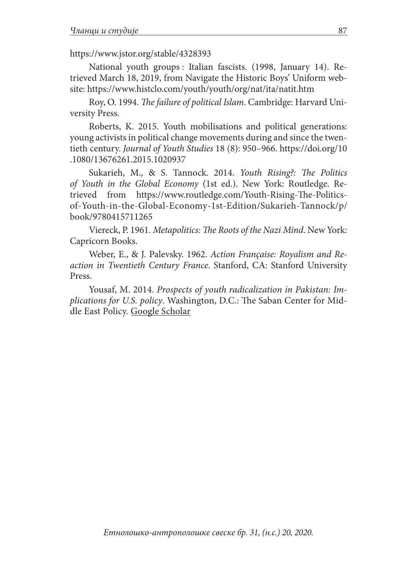## https://www.jstor.org/stable/4328393

National youth groups : Italian fascists. (1998, January 14). Retrieved March 18, 2019, from Navigate the Historic Boys' Uniform website: https://www.histclo.com/youth/youth/org/nat/ita/natit.htm

Roy, O. 1994. *The failure of political Islam*. Cambridge: Harvard University Press.

Roberts, K. 2015. Youth mobilisations and political generations: young activists in political change movements during and since the twentieth century. *Journal of Youth Studies* 18 (8): 950–966. https://doi.org/10 .1080/13676261.2015.1020937

Sukarieh, M., & S. Tannock. 2014. *Youth Rising?: The Politics of Youth in the Global Economy* (1st ed.). New York: Routledge. Retrieved from https://www.routledge.com/Youth-Rising-The-Politicsof-Youth-in-the-Global-Economy-1st-Edition/Sukarieh-Tannock/p/ book/9780415711265

Viereck, P. 1961. *Metapolitics: The Roots of the Nazi Mind*. New York: Capricorn Books.

Weber, E., & J. Palevsky. 1962. *Action Française: Royalism and Reaction in Twentieth Century France*. Stanford, CA: Stanford University Press.

Yousaf, M. 2014. *Prospects of youth radicalization in Pakistan: Implications for U.S. policy*. Washington, D.C.: The Saban Center for Middle East Policy. Google Scholar